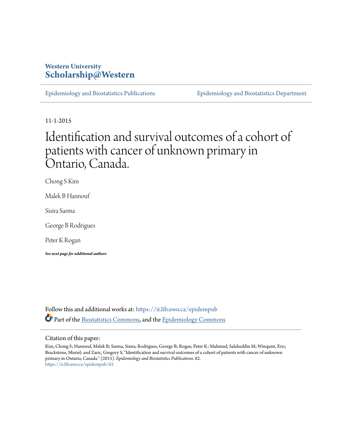## **Western University [Scholarship@Western](https://ir.lib.uwo.ca?utm_source=ir.lib.uwo.ca%2Fepidempub%2F62&utm_medium=PDF&utm_campaign=PDFCoverPages)**

[Epidemiology and Biostatistics Publications](https://ir.lib.uwo.ca/epidempub?utm_source=ir.lib.uwo.ca%2Fepidempub%2F62&utm_medium=PDF&utm_campaign=PDFCoverPages) [Epidemiology and Biostatistics Department](https://ir.lib.uwo.ca/epidem?utm_source=ir.lib.uwo.ca%2Fepidempub%2F62&utm_medium=PDF&utm_campaign=PDFCoverPages)

11-1-2015

# Identification and survival outcomes of a cohort of patients with cancer of unknown primary in Ontario, Canada.

Chong S Kim

Malek B Hannouf

Sisira Sarma

George B Rodrigues

Peter K Rogan

*See next page for additional authors*

Follow this and additional works at: [https://ir.lib.uwo.ca/epidempub](https://ir.lib.uwo.ca/epidempub?utm_source=ir.lib.uwo.ca%2Fepidempub%2F62&utm_medium=PDF&utm_campaign=PDFCoverPages) Part of the [Biostatistics Commons,](http://network.bepress.com/hgg/discipline/210?utm_source=ir.lib.uwo.ca%2Fepidempub%2F62&utm_medium=PDF&utm_campaign=PDFCoverPages) and the [Epidemiology Commons](http://network.bepress.com/hgg/discipline/740?utm_source=ir.lib.uwo.ca%2Fepidempub%2F62&utm_medium=PDF&utm_campaign=PDFCoverPages)

#### Citation of this paper:

Kim, Chong S; Hannouf, Malek B; Sarma, Sisira; Rodrigues, George B; Rogan, Peter K; Mahmud, Salaheddin M; Winquist, Eric; Brackstone, Muriel; and Zaric, Gregory S, "Identification and survival outcomes of a cohort of patients with cancer of unknown primary in Ontario, Canada." (2015). *Epidemiology and Biostatistics Publications*. 62. [https://ir.lib.uwo.ca/epidempub/62](https://ir.lib.uwo.ca/epidempub/62?utm_source=ir.lib.uwo.ca%2Fepidempub%2F62&utm_medium=PDF&utm_campaign=PDFCoverPages)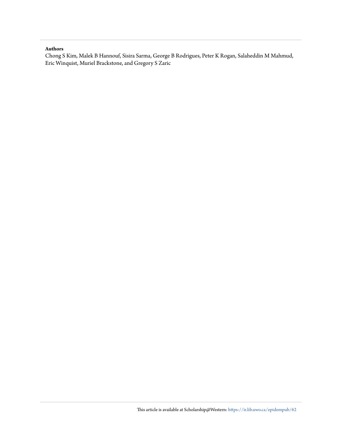#### **Authors**

Chong S Kim, Malek B Hannouf, Sisira Sarma, George B Rodrigues, Peter K Rogan, Salaheddin M Mahmud, Eric Winquist, Muriel Brackstone, and Gregory S Zaric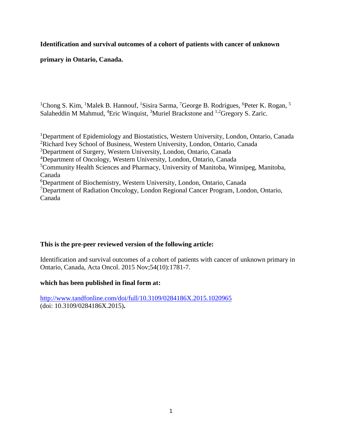## **Identification and survival outcomes of a cohort of patients with cancer of unknown**

## **primary in Ontario, Canada.**

<sup>1</sup>Chong S. Kim, <sup>1</sup>Malek B. Hannouf, <sup>1</sup>Sisira Sarma, <sup>7</sup>George B. Rodrigues, <sup>6</sup>Peter K. Rogan, <sup>5</sup> Salaheddin M Mahmud, <sup>4</sup>Eric Winquist, <sup>3</sup>Muriel Brackstone and <sup>1,2</sup>Gregory S. Zaric.

<sup>1</sup>Department of Epidemiology and Biostatistics, Western University, London, Ontario, Canada Richard Ivey School of Business, Western University, London, Ontario, Canada Department of Surgery, Western University, London, Ontario, Canada Department of Oncology, Western University, London, Ontario, Canada Community Health Sciences and Pharmacy, University of Manitoba, Winnipeg, Manitoba, Canada Department of Biochemistry, Western University, London, Ontario, Canada Department of Radiation Oncology, London Regional Cancer Program, London, Ontario, Canada

### **This is the pre-peer reviewed version of the following article:**

Identification and survival outcomes of a cohort of patients with cancer of unknown primary in Ontario, Canada, Acta Oncol. 2015 Nov;54(10):1781-7.

#### **which has been published in final form at:**

<http://www.tandfonline.com/doi/full/10.3109/0284186X.2015.1020965> (doi: 10.3109/0284186X.2015)**.**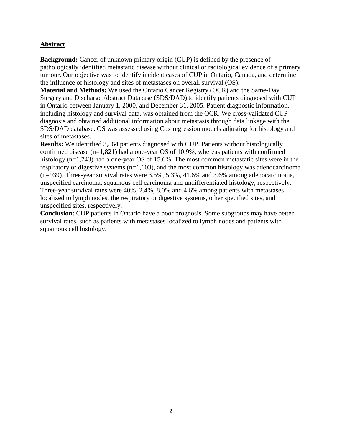## **Abstract**

**Background:** Cancer of unknown primary origin (CUP) is defined by the presence of pathologically identified metastatic disease without clinical or radiological evidence of a primary tumour. Our objective was to identify incident cases of CUP in Ontario, Canada, and determine the influence of histology and sites of metastases on overall survival (OS).

**Material and Methods:** We used the Ontario Cancer Registry (OCR) and the Same-Day Surgery and Discharge Abstract Database (SDS/DAD) to identify patients diagnosed with CUP in Ontario between January 1, 2000, and December 31, 2005. Patient diagnostic information, including histology and survival data, was obtained from the OCR. We cross-validated CUP diagnosis and obtained additional information about metastasis through data linkage with the SDS/DAD database. OS was assessed using Cox regression models adjusting for histology and sites of metastases.

**Results:** We identified 3,564 patients diagnosed with CUP. Patients without histologically confirmed disease (n=1,821) had a one-year OS of 10.9%, whereas patients with confirmed histology (n=1,743) had a one-year OS of 15.6%. The most common metastatic sites were in the respiratory or digestive systems  $(n=1,603)$ , and the most common histology was adenocarcinoma (n=939). Three-year survival rates were 3.5%, 5.3%, 41.6% and 3.6% among adenocarcinoma, unspecified carcinoma, squamous cell carcinoma and undifferentiated histology, respectively. Three-year survival rates were 40%, 2.4%, 8.0% and 4.6% among patients with metastases localized to lymph nodes, the respiratory or digestive systems, other specified sites, and unspecified sites, respectively.

**Conclusion:** CUP patients in Ontario have a poor prognosis. Some subgroups may have better survival rates, such as patients with metastases localized to lymph nodes and patients with squamous cell histology.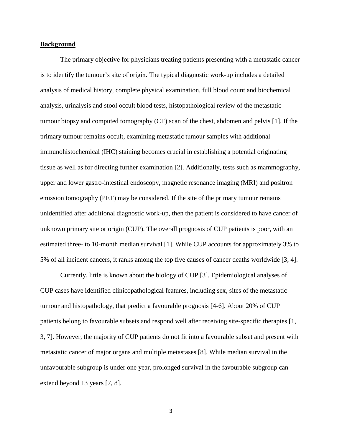#### **Background**

The primary objective for physicians treating patients presenting with a metastatic cancer is to identify the tumour's site of origin. The typical diagnostic work-up includes a detailed analysis of medical history, complete physical examination, full blood count and biochemical analysis, urinalysis and stool occult blood tests, histopathological review of the metastatic tumour biopsy and computed tomography (CT) scan of the chest, abdomen and pelvis [1]. If the primary tumour remains occult, examining metastatic tumour samples with additional immunohistochemical (IHC) staining becomes crucial in establishing a potential originating tissue as well as for directing further examination [2]. Additionally, tests such as mammography, upper and lower gastro-intestinal endoscopy, magnetic resonance imaging (MRI) and positron emission tomography (PET) may be considered. If the site of the primary tumour remains unidentified after additional diagnostic work-up, then the patient is considered to have cancer of unknown primary site or origin (CUP). The overall prognosis of CUP patients is poor, with an estimated three- to 10-month median survival [1]. While CUP accounts for approximately 3% to 5% of all incident cancers, it ranks among the top five causes of cancer deaths worldwide [3, 4].

Currently, little is known about the biology of CUP [3]. Epidemiological analyses of CUP cases have identified clinicopathological features, including sex, sites of the metastatic tumour and histopathology, that predict a favourable prognosis [4-6]. About 20% of CUP patients belong to favourable subsets and respond well after receiving site-specific therapies [1, 3, 7]. However, the majority of CUP patients do not fit into a favourable subset and present with metastatic cancer of major organs and multiple metastases [8]. While median survival in the unfavourable subgroup is under one year, prolonged survival in the favourable subgroup can extend beyond 13 years [7, 8].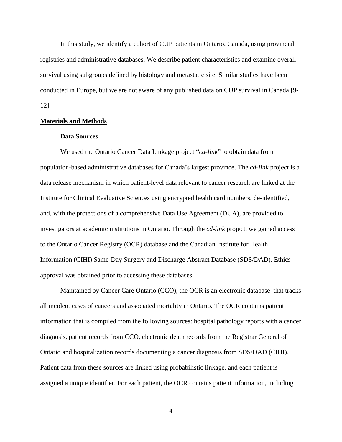In this study, we identify a cohort of CUP patients in Ontario, Canada, using provincial registries and administrative databases. We describe patient characteristics and examine overall survival using subgroups defined by histology and metastatic site. Similar studies have been conducted in Europe, but we are not aware of any published data on CUP survival in Canada [9- 12].

#### **Materials and Methods**

#### **Data Sources**

We used the Ontario Cancer Data Linkage project "*cd-link*" to obtain data from population-based administrative databases for Canada's largest province. The *cd-link* project is a data release mechanism in which patient-level data relevant to cancer research are linked at the Institute for Clinical Evaluative Sciences using encrypted health card numbers, de-identified, and, with the protections of a comprehensive Data Use Agreement (DUA), are provided to investigators at academic institutions in Ontario. Through the *cd-link* project, we gained access to the Ontario Cancer Registry (OCR) database and the Canadian Institute for Health Information (CIHI) Same-Day Surgery and Discharge Abstract Database (SDS/DAD). Ethics approval was obtained prior to accessing these databases.

Maintained by Cancer Care Ontario (CCO), the OCR is an electronic database that tracks all incident cases of cancers and associated mortality in Ontario. The OCR contains patient information that is compiled from the following sources: hospital pathology reports with a cancer diagnosis, patient records from CCO, electronic death records from the Registrar General of Ontario and hospitalization records documenting a cancer diagnosis from SDS/DAD (CIHI). Patient data from these sources are linked using probabilistic linkage, and each patient is assigned a unique identifier. For each patient, the OCR contains patient information, including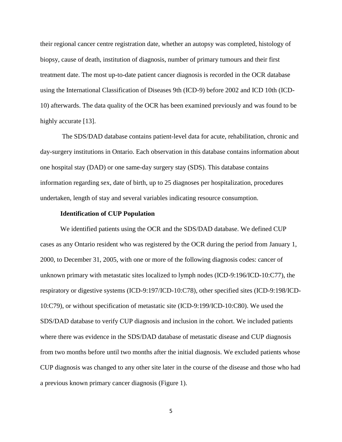their regional cancer centre registration date, whether an autopsy was completed, histology of biopsy, cause of death, institution of diagnosis, number of primary tumours and their first treatment date. The most up-to-date patient cancer diagnosis is recorded in the OCR database using the International Classification of Diseases 9th (ICD-9) before 2002 and ICD 10th (ICD-10) afterwards. The data quality of the OCR has been examined previously and was found to be highly accurate [13].

The SDS/DAD database contains patient-level data for acute, rehabilitation, chronic and day-surgery institutions in Ontario. Each observation in this database contains information about one hospital stay (DAD) or one same-day surgery stay (SDS). This database contains information regarding sex, date of birth, up to 25 diagnoses per hospitalization, procedures undertaken, length of stay and several variables indicating resource consumption.

#### **Identification of CUP Population**

We identified patients using the OCR and the SDS/DAD database. We defined CUP cases as any Ontario resident who was registered by the OCR during the period from January 1, 2000, to December 31, 2005, with one or more of the following diagnosis codes: cancer of unknown primary with metastatic sites localized to lymph nodes (ICD-9:196/ICD-10:C77), the respiratory or digestive systems (ICD-9:197/ICD-10:C78), other specified sites (ICD-9:198/ICD-10:C79), or without specification of metastatic site (ICD-9:199/ICD-10:C80). We used the SDS/DAD database to verify CUP diagnosis and inclusion in the cohort. We included patients where there was evidence in the SDS/DAD database of metastatic disease and CUP diagnosis from two months before until two months after the initial diagnosis. We excluded patients whose CUP diagnosis was changed to any other site later in the course of the disease and those who had a previous known primary cancer diagnosis (Figure 1).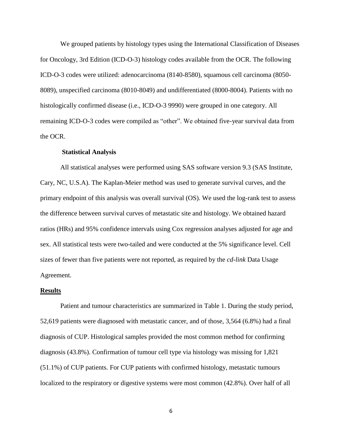We grouped patients by histology types using the International Classification of Diseases for Oncology, 3rd Edition (ICD-O-3) histology codes available from the OCR. The following ICD-O-3 codes were utilized: adenocarcinoma (8140-8580), squamous cell carcinoma (8050- 8089), unspecified carcinoma (8010-8049) and undifferentiated (8000-8004). Patients with no histologically confirmed disease (i.e., ICD-O-3 9990) were grouped in one category. All remaining ICD-O-3 codes were compiled as "other". We obtained five-year survival data from the OCR.

#### **Statistical Analysis**

All statistical analyses were performed using SAS software version 9.3 (SAS Institute, Cary, NC, U.S.A). The Kaplan-Meier method was used to generate survival curves, and the primary endpoint of this analysis was overall survival (OS). We used the log-rank test to assess the difference between survival curves of metastatic site and histology. We obtained hazard ratios (HRs) and 95% confidence intervals using Cox regression analyses adjusted for age and sex. All statistical tests were two-tailed and were conducted at the 5% significance level. Cell sizes of fewer than five patients were not reported, as required by the *cd-link* Data Usage Agreement.

#### **Results**

Patient and tumour characteristics are summarized in Table 1. During the study period, 52,619 patients were diagnosed with metastatic cancer, and of those, 3,564 (6.8%) had a final diagnosis of CUP. Histological samples provided the most common method for confirming diagnosis (43.8%). Confirmation of tumour cell type via histology was missing for 1,821 (51.1%) of CUP patients. For CUP patients with confirmed histology, metastatic tumours localized to the respiratory or digestive systems were most common  $(42.8\%)$ . Over half of all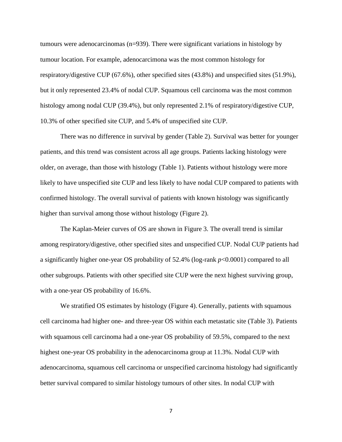tumours were adenocarcinomas (n=939). There were significant variations in histology by tumour location. For example, adenocarcimona was the most common histology for respiratory/digestive CUP (67.6%), other specified sites (43.8%) and unspecified sites (51.9%), but it only represented 23.4% of nodal CUP. Squamous cell carcinoma was the most common histology among nodal CUP (39.4%), but only represented 2.1% of respiratory/digestive CUP, 10.3% of other specified site CUP, and 5.4% of unspecified site CUP.

There was no difference in survival by gender (Table 2). Survival was better for younger patients, and this trend was consistent across all age groups. Patients lacking histology were older, on average, than those with histology (Table 1). Patients without histology were more likely to have unspecified site CUP and less likely to have nodal CUP compared to patients with confirmed histology. The overall survival of patients with known histology was significantly higher than survival among those without histology (Figure 2).

The Kaplan-Meier curves of OS are shown in Figure 3. The overall trend is similar among respiratory/digestive, other specified sites and unspecified CUP. Nodal CUP patients had a significantly higher one-year OS probability of 52.4% (log-rank *p*<0.0001) compared to all other subgroups. Patients with other specified site CUP were the next highest surviving group, with a one-year OS probability of 16.6%.

We stratified OS estimates by histology (Figure 4). Generally, patients with squamous cell carcinoma had higher one- and three-year OS within each metastatic site (Table 3). Patients with squamous cell carcinoma had a one-year OS probability of 59.5%, compared to the next highest one-year OS probability in the adenocarcinoma group at 11.3%. Nodal CUP with adenocarcinoma, squamous cell carcinoma or unspecified carcinoma histology had significantly better survival compared to similar histology tumours of other sites. In nodal CUP with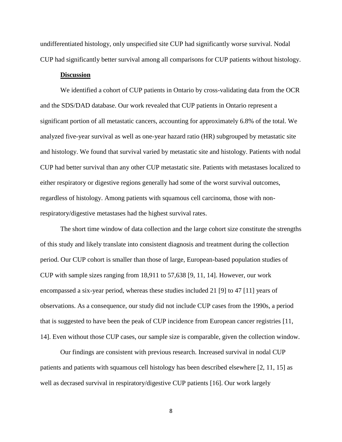undifferentiated histology, only unspecified site CUP had significantly worse survival. Nodal CUP had significantly better survival among all comparisons for CUP patients without histology.

#### **Discussion**

We identified a cohort of CUP patients in Ontario by cross-validating data from the OCR and the SDS/DAD database. Our work revealed that CUP patients in Ontario represent a significant portion of all metastatic cancers, accounting for approximately 6.8% of the total. We analyzed five-year survival as well as one-year hazard ratio (HR) subgrouped by metastatic site and histology. We found that survival varied by metastatic site and histology. Patients with nodal CUP had better survival than any other CUP metastatic site. Patients with metastases localized to either respiratory or digestive regions generally had some of the worst survival outcomes, regardless of histology. Among patients with squamous cell carcinoma, those with nonrespiratory/digestive metastases had the highest survival rates.

The short time window of data collection and the large cohort size constitute the strengths of this study and likely translate into consistent diagnosis and treatment during the collection period. Our CUP cohort is smaller than those of large, European-based population studies of CUP with sample sizes ranging from 18,911 to 57,638 [9, 11, 14]. However, our work encompassed a six-year period, whereas these studies included 21 [9] to 47 [11] years of observations. As a consequence, our study did not include CUP cases from the 1990s, a period that is suggested to have been the peak of CUP incidence from European cancer registries [11, 14]. Even without those CUP cases, our sample size is comparable, given the collection window.

Our findings are consistent with previous research. Increased survival in nodal CUP patients and patients with squamous cell histology has been described elsewhere [2, 11, 15] as well as decrased survival in respiratory/digestive CUP patients [16]. Our work largely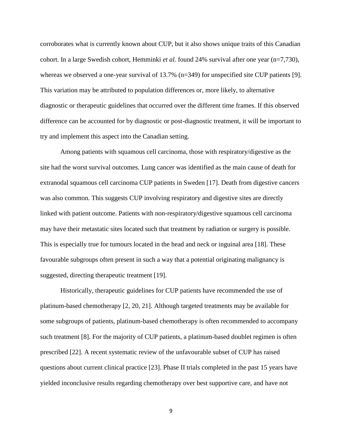corroborates what is currently known about CUP, but it also shows unique traits of this Canadian cohort. In a large Swedish cohort, Hemminki *et al.* found 24% survival after one year (n=7,730), whereas we observed a one-year survival of 13.7% (n=349) for unspecified site CUP patients [9]. This variation may be attributed to population differences or, more likely, to alternative diagnostic or therapeutic guidelines that occurred over the different time frames. If this observed difference can be accounted for by diagnostic or post-diagnostic treatment, it will be important to try and implement this aspect into the Canadian setting.

Among patients with squamous cell carcinoma, those with respiratory/digestive as the site had the worst survival outcomes. Lung cancer was identified as the main cause of death for extranodal squamous cell carcinoma CUP patients in Sweden [17]. Death from digestive cancers was also common. This suggests CUP involving respiratory and digestive sites are directly linked with patient outcome. Patients with non-respiratory/digestive squamous cell carcinoma may have their metastatic sites located such that treatment by radiation or surgery is possible. This is especially true for tumours located in the head and neck or inguinal area [18]. These favourable subgroups often present in such a way that a potential originating malignancy is suggested, directing therapeutic treatment [19].

Historically, therapeutic guidelines for CUP patients have recommended the use of platinum-based chemotherapy [2, 20, 21]. Although targeted treatments may be available for some subgroups of patients, platinum-based chemotherapy is often recommended to accompany such treatment [8]. For the majority of CUP patients, a platinum-based doublet regimen is often prescribed [22]. A recent systematic review of the unfavourable subset of CUP has raised questions about current clinical practice [23]. Phase II trials completed in the past 15 years have yielded inconclusive results regarding chemotherapy over best supportive care, and have not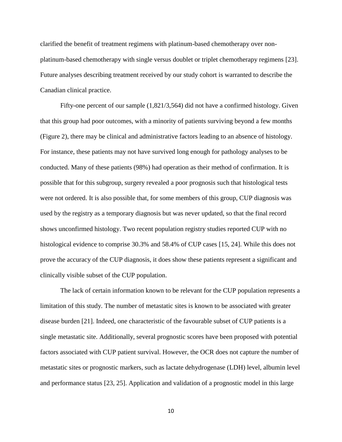clarified the benefit of treatment regimens with platinum-based chemotherapy over nonplatinum-based chemotherapy with single versus doublet or triplet chemotherapy regimens [23]. Future analyses describing treatment received by our study cohort is warranted to describe the Canadian clinical practice.

Fifty-one percent of our sample (1,821/3,564) did not have a confirmed histology. Given that this group had poor outcomes, with a minority of patients surviving beyond a few months (Figure 2), there may be clinical and administrative factors leading to an absence of histology. For instance, these patients may not have survived long enough for pathology analyses to be conducted. Many of these patients (98%) had operation as their method of confirmation. It is possible that for this subgroup, surgery revealed a poor prognosis such that histological tests were not ordered. It is also possible that, for some members of this group, CUP diagnosis was used by the registry as a temporary diagnosis but was never updated, so that the final record shows unconfirmed histology. Two recent population registry studies reported CUP with no histological evidence to comprise 30.3% and 58.4% of CUP cases [15, 24]. While this does not prove the accuracy of the CUP diagnosis, it does show these patients represent a significant and clinically visible subset of the CUP population.

The lack of certain information known to be relevant for the CUP population represents a limitation of this study. The number of metastatic sites is known to be associated with greater disease burden [21]. Indeed, one characteristic of the favourable subset of CUP patients is a single metastatic site. Additionally, several prognostic scores have been proposed with potential factors associated with CUP patient survival. However, the OCR does not capture the number of metastatic sites or prognostic markers, such as lactate dehydrogenase (LDH) level, albumin level and performance status [23, 25]. Application and validation of a prognostic model in this large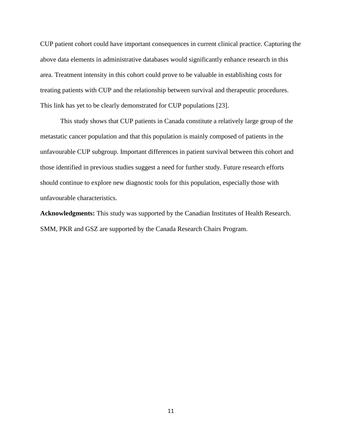CUP patient cohort could have important consequences in current clinical practice. Capturing the above data elements in administrative databases would significantly enhance research in this area. Treatment intensity in this cohort could prove to be valuable in establishing costs for treating patients with CUP and the relationship between survival and therapeutic procedures. This link has yet to be clearly demonstrated for CUP populations [23].

This study shows that CUP patients in Canada constitute a relatively large group of the metastatic cancer population and that this population is mainly composed of patients in the unfavourable CUP subgroup. Important differences in patient survival between this cohort and those identified in previous studies suggest a need for further study. Future research efforts should continue to explore new diagnostic tools for this population, especially those with unfavourable characteristics.

**Acknowledgments:** This study was supported by the Canadian Institutes of Health Research. SMM, PKR and GSZ are supported by the Canada Research Chairs Program.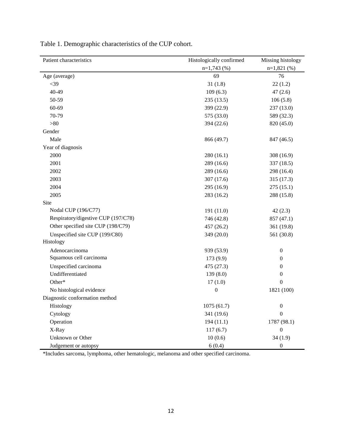| Patient characteristics             | Histologically confirmed | Missing histology |
|-------------------------------------|--------------------------|-------------------|
|                                     | $n=1,743$ (%)            | $n=1,821(%)$      |
| Age (average)                       | 69                       | 76                |
| $<$ 39                              | 31(1.8)                  | 22(1.2)           |
| 40-49                               | 109(6.3)                 | 47(2.6)           |
| 50-59                               | 235(13.5)                | 106(5.8)          |
| 60-69                               | 399 (22.9)               | 237 (13.0)        |
| 70-79                               | 575 (33.0)               | 589 (32.3)        |
| >80                                 | 394 (22.6)               | 820 (45.0)        |
| Gender                              |                          |                   |
| Male                                | 866 (49.7)               | 847 (46.5)        |
| Year of diagnosis                   |                          |                   |
| 2000                                | 280 (16.1)               | 308 (16.9)        |
| 2001                                | 289 (16.6)               | 337 (18.5)        |
| 2002                                | 289 (16.6)               | 298 (16.4)        |
| 2003                                | 307 (17.6)               | 315 (17.3)        |
| 2004                                | 295 (16.9)               | 275(15.1)         |
| 2005                                | 283 (16.2)               | 288 (15.8)        |
| Site                                |                          |                   |
| Nodal CUP (196/C77)                 | 191 (11.0)               | 42(2.3)           |
| Respiratory/digestive CUP (197/C78) | 746 (42.8)               | 857 (47.1)        |
| Other specified site CUP (198/C79)  | 457 (26.2)               | 361 (19.8)        |
| Unspecified site CUP (199/C80)      | 349 (20.0)               | 561 (30.8)        |
| Histology                           |                          |                   |
| Adenocarcinoma                      | 939 (53.9)               | $\boldsymbol{0}$  |
| Squamous cell carcinoma             | 173 (9.9)                | $\boldsymbol{0}$  |
| Unspecified carcinoma               | 475 (27.3)               | $\boldsymbol{0}$  |
| Undifferentiated                    | 139(8.0)                 | $\boldsymbol{0}$  |
| Other*                              | 17(1.0)                  | $\boldsymbol{0}$  |
| No histological evidence            | $\boldsymbol{0}$         | 1821 (100)        |
| Diagnostic conformation method      |                          |                   |
| Histology                           | 1075(61.7)               | $\boldsymbol{0}$  |
| Cytology                            | 341 (19.6)               | $\boldsymbol{0}$  |
| Operation                           | 194(11.1)                | 1787 (98.1)       |
| X-Ray                               | 117(6.7)                 | $\boldsymbol{0}$  |
| Unknown or Other                    | 10(0.6)                  | 34(1.9)           |
| Judgement or autopsy                | 6(0.4)                   | $\boldsymbol{0}$  |

Table 1. Demographic characteristics of the CUP cohort.

\*Includes sarcoma, lymphoma, other hematologic, melanoma and other specified carcinoma.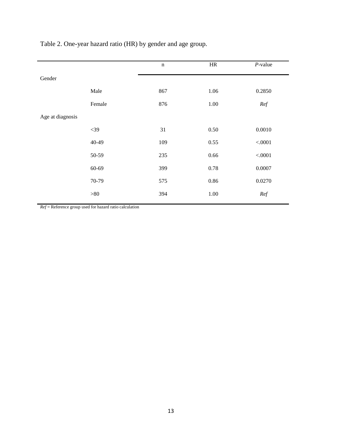|        | $\mathbf n$ | HR   | $P$ -value |
|--------|-------------|------|------------|
|        |             |      |            |
| Male   | 867         | 1.06 | 0.2850     |
| Female | 876         | 1.00 | Ref        |
|        |             |      |            |
| $<$ 39 | 31          | 0.50 | 0.0010     |
| 40-49  | 109         | 0.55 | < .0001    |
| 50-59  | 235         | 0.66 | < .0001    |
| 60-69  | 399         | 0.78 | 0.0007     |
| 70-79  | 575         | 0.86 | 0.0270     |
| >80    | 394         | 1.00 | Ref        |
|        |             |      |            |

Table 2. One-year hazard ratio (HR) by gender and age group.

*Ref* = Reference group used for hazard ratio calculation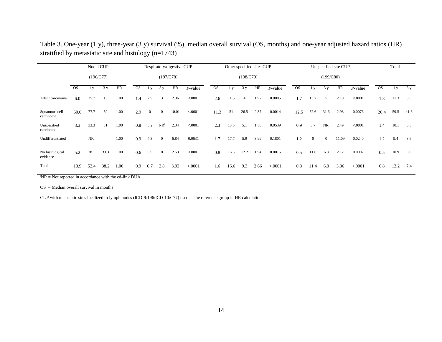|                             | Nodal CUP |        |      |      |           | Respiratory/digestive CUP |                |       |            | Other specified sites CUP |      |      |      |            |           | Total          |                |       |            |           |                         |      |
|-----------------------------|-----------|--------|------|------|-----------|---------------------------|----------------|-------|------------|---------------------------|------|------|------|------------|-----------|----------------|----------------|-------|------------|-----------|-------------------------|------|
|                             | (196/C77) |        |      |      | (197/C78) |                           |                |       | (198/C79)  |                           |      |      |      |            |           |                |                |       |            |           |                         |      |
|                             | <b>OS</b> | 1 y    | 3y   | HR   | <b>OS</b> | 1 <sub>v</sub>            | 3y             | HR    | $P$ -value | <b>OS</b>                 | 1 y  | 3y   | HR   | $P$ -value | <b>OS</b> | 1 <sub>v</sub> | 3y             | HR    | $P$ -value | <b>OS</b> | $\mathbf{1} \mathbf{y}$ | 3y   |
| Adenocarcinoma              | 6.0       | 35.7   | 13   | 1.00 | 1.4       | 7.9                       | 3              | 2.36  | < .0001    | 2.6                       | 11.5 | 4    | 1.92 | 0.0005     | 1.7       | 13.7           | 5              | 2.10  | < .0001    | 1.8       | 11.3                    | 3.5  |
| Squamous cell<br>carcinoma  | 60.0      | 77.7   | 59   | 1.00 | 2.9       | $\boldsymbol{0}$          | $\overline{0}$ | 10.01 | < .0001    | 11.3                      | 51   | 26.5 | 2.37 | 0.0014     | 12.5      | 52.6           | 31.6           | 2.98  | 0.0076     | 20.4      | 59.5                    | 41.6 |
| Unspecified<br>carcinoma    | 3.3       | 33.3   | 31   | 1.00 | 0.8       | 5.2                       | $NR^+$         | 2.34  | < .0001    | 2.3                       | 13.5 | 5.1  | 1.50 | 0.0539     | 0.9       | 3.7            | $NR^{\dagger}$ | 2.49  | < .0001    | 1.4       | 10.1                    | 5.3  |
| Undifferentiated            |           | $NR^*$ |      | 1.00 | 0.9       | 4.3                       | $\overline{0}$ | 6.84  | 0.0631     | 1.7                       | 17.7 | 5.9  | 3.99 | 0.1801     | 1.2       | $\overline{0}$ | $\overline{0}$ | 11.09 | 0.0240     | 1.2       | 9.4                     | 3.6  |
| No histological<br>evidence | 5.2       | 38.1   | 33.3 | 1.00 | 0.6       | 6.9                       | $\overline{0}$ | 2.53  | < .0001    | 0.8                       | 16.3 | 12.2 | 1.94 | 0.0015     | 0.5       | 11.6           | 6.8            | 2.12  | 0.0002     | 0.5       | 10.9                    | 6.9  |
| Total                       | 13.9      | 52.4   | 38.2 | 1.00 | 0.9       | 6.7                       | 2.8            | 3.93  | < 0.0001   | 1.6                       | 16.6 | 9.3  | 2.66 | < .0001    | 0.8       | 11.4           | 6.0            | 3.36  | < .0001    | 0.8       | 13.2                    | 7.4  |

Table 3. One-year (1 y), three-year (3 y) survival (%), median overall survival (OS, months) and one-year adjusted hazard ratios (HR) stratified by metastatic site and histology (n=1743)

 $N = Not$  reported in accordance with the cd-link DUA

 $OS = Median overall survival in months$ 

CUP with metastatic sites localized to lymph nodes (ICD-9:196/ICD-10:C77) used as the reference group in HR calculations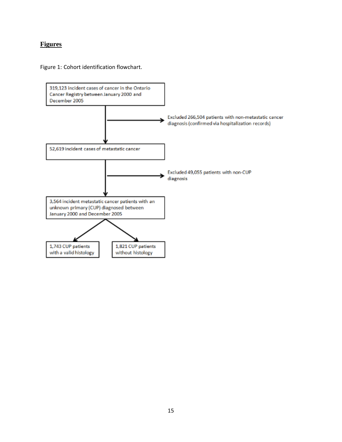## **Figures**

Figure 1: Cohort identification flowchart.

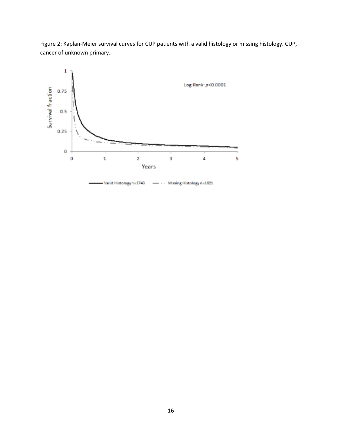

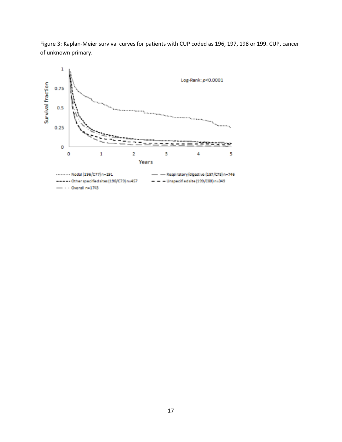

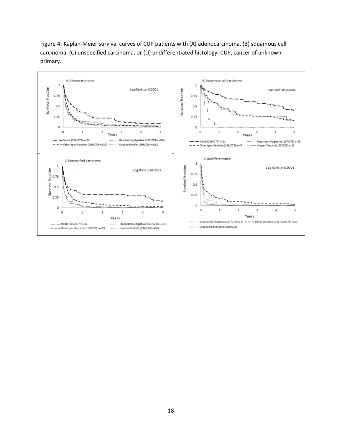

Figure 4: Kaplan-Meier survival curves of CUP patients with (A) adenocarcinoma, (B) squamous cell carcinoma, (C) unspecified carcinoma, or (D) undifferentiated histology. CUP, cancer of unknown primary.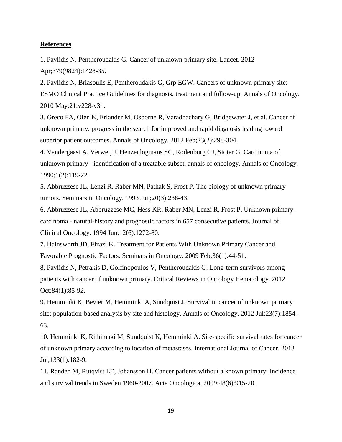#### **References**

1. Pavlidis N, Pentheroudakis G. Cancer of unknown primary site. Lancet. 2012 Apr;379(9824):1428-35.

2. Pavlidis N, Briasoulis E, Pentheroudakis G, Grp EGW. Cancers of unknown primary site: ESMO Clinical Practice Guidelines for diagnosis, treatment and follow-up. Annals of Oncology. 2010 May;21:v228-v31.

3. Greco FA, Oien K, Erlander M, Osborne R, Varadhachary G, Bridgewater J, et al. Cancer of unknown primary: progress in the search for improved and rapid diagnosis leading toward superior patient outcomes. Annals of Oncology. 2012 Feb;23(2):298-304.

4. Vandergaast A, Verweij J, Henzenlogmans SC, Rodenburg CJ, Stoter G. Carcinoma of unknown primary - identification of a treatable subset. annals of oncology. Annals of Oncology. 1990;1(2):119-22.

5. Abbruzzese JL, Lenzi R, Raber MN, Pathak S, Frost P. The biology of unknown primary tumors. Seminars in Oncology. 1993 Jun;20(3):238-43.

6. Abbruzzese JL, Abbruzzese MC, Hess KR, Raber MN, Lenzi R, Frost P. Unknown primarycarcinoma - natural-history and prognostic factors in 657 consecutive patients. Journal of Clinical Oncology. 1994 Jun;12(6):1272-80.

7. Hainsworth JD, Fizazi K. Treatment for Patients With Unknown Primary Cancer and Favorable Prognostic Factors. Seminars in Oncology. 2009 Feb;36(1):44-51.

8. Pavlidis N, Petrakis D, Golfinopoulos V, Pentheroudakis G. Long-term survivors among patients with cancer of unknown primary. Critical Reviews in Oncology Hematology. 2012 Oct;84(1):85-92.

9. Hemminki K, Bevier M, Hemminki A, Sundquist J. Survival in cancer of unknown primary site: population-based analysis by site and histology. Annals of Oncology. 2012 Jul;23(7):1854- 63.

10. Hemminki K, Riihimaki M, Sundquist K, Hemminki A. Site-specific survival rates for cancer of unknown primary according to location of metastases. International Journal of Cancer. 2013 Jul;133(1):182-9.

11. Randen M, Rutqvist LE, Johansson H. Cancer patients without a known primary: Incidence and survival trends in Sweden 1960-2007. Acta Oncologica. 2009;48(6):915-20.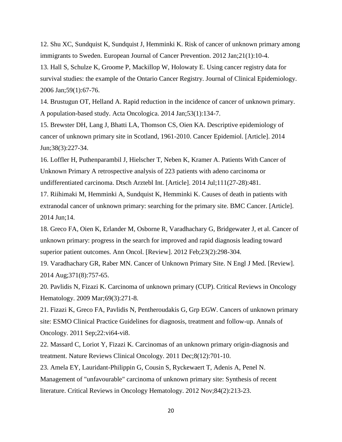12. Shu XC, Sundquist K, Sundquist J, Hemminki K. Risk of cancer of unknown primary among immigrants to Sweden. European Journal of Cancer Prevention. 2012 Jan;21(1):10-4.

13. Hall S, Schulze K, Groome P, Mackillop W, Holowaty E. Using cancer registry data for survival studies: the example of the Ontario Cancer Registry. Journal of Clinical Epidemiology. 2006 Jan;59(1):67-76.

14. Brustugun OT, Helland A. Rapid reduction in the incidence of cancer of unknown primary. A population-based study. Acta Oncologica. 2014 Jan;53(1):134-7.

15. Brewster DH, Lang J, Bhatti LA, Thomson CS, Oien KA. Descriptive epidemiology of cancer of unknown primary site in Scotland, 1961-2010. Cancer Epidemiol. [Article]. 2014 Jun;38(3):227-34.

16. Loffler H, Puthenparambil J, Hielscher T, Neben K, Kramer A. Patients With Cancer of Unknown Primary A retrospective analysis of 223 patients with adeno carcinoma or undifferentiated carcinoma. Dtsch Arztebl Int. [Article]. 2014 Jul;111(27-28):481.

17. Riihimaki M, Hemminki A, Sundquist K, Hemminki K. Causes of death in patients with extranodal cancer of unknown primary: searching for the primary site. BMC Cancer. [Article]. 2014 Jun;14.

18. Greco FA, Oien K, Erlander M, Osborne R, Varadhachary G, Bridgewater J, et al. Cancer of unknown primary: progress in the search for improved and rapid diagnosis leading toward superior patient outcomes. Ann Oncol. [Review]. 2012 Feb;23(2):298-304.

19. Varadhachary GR, Raber MN. Cancer of Unknown Primary Site. N Engl J Med. [Review]. 2014 Aug;371(8):757-65.

20. Pavlidis N, Fizazi K. Carcinoma of unknown primary (CUP). Critical Reviews in Oncology Hematology. 2009 Mar;69(3):271-8.

21. Fizazi K, Greco FA, Pavlidis N, Pentheroudakis G, Grp EGW. Cancers of unknown primary site: ESMO Clinical Practice Guidelines for diagnosis, treatment and follow-up. Annals of Oncology. 2011 Sep;22:vi64-vi8.

22. Massard C, Loriot Y, Fizazi K. Carcinomas of an unknown primary origin-diagnosis and treatment. Nature Reviews Clinical Oncology. 2011 Dec;8(12):701-10.

23. Amela EY, Lauridant-Philippin G, Cousin S, Ryckewaert T, Adenis A, Penel N. Management of "unfavourable" carcinoma of unknown primary site: Synthesis of recent literature. Critical Reviews in Oncology Hematology. 2012 Nov;84(2):213-23.